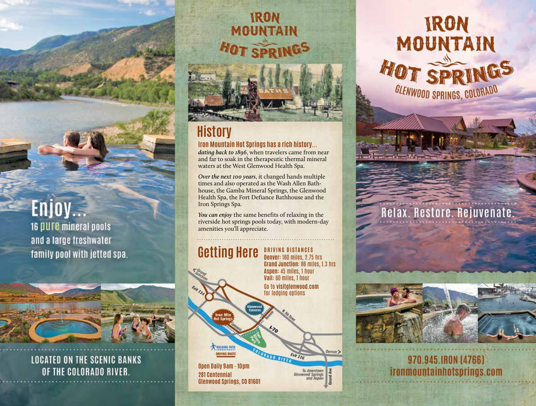## Enjoy...

16 pure mineral pools and a large freshwater family pool with jetted spa.



**LOCATED ON THE SCENIC BANKS** OF THE COLORADO RIVER.

# IRON<br>MOUNTAIN **HOT SPRINGS FALLY**

## **History**

## **Iron Mountain Hot Springs has a rich history...**

*dating back to 1896*, when travelers came from near and far to soak in the therapeutic thermal mineral waters at the West Glenwood Health Spa.

*Over the next 100 years*, it changed hands multiple times and also operated as the Wash Allen Bathhouse, the Gamba Mineral Springs, the Glenwood Health Spa, the Fort Defiance Bathhouse and the Iron Springs Spa.

*You can enjoy* the same benefits of relaxing in the riverside hot springs pools today, with modern-day amenities you'll appreciate.

### **Getting Here Denver:** 160 miles, 2.75 hrs



## **IRON** MOUNTAIN HOT SPRI GLENWOOD SPRINGS, COLORADO

## Relax. Restore. Rejuvenate.



970.945.IRON (4766) ironmountainhotsprings.com